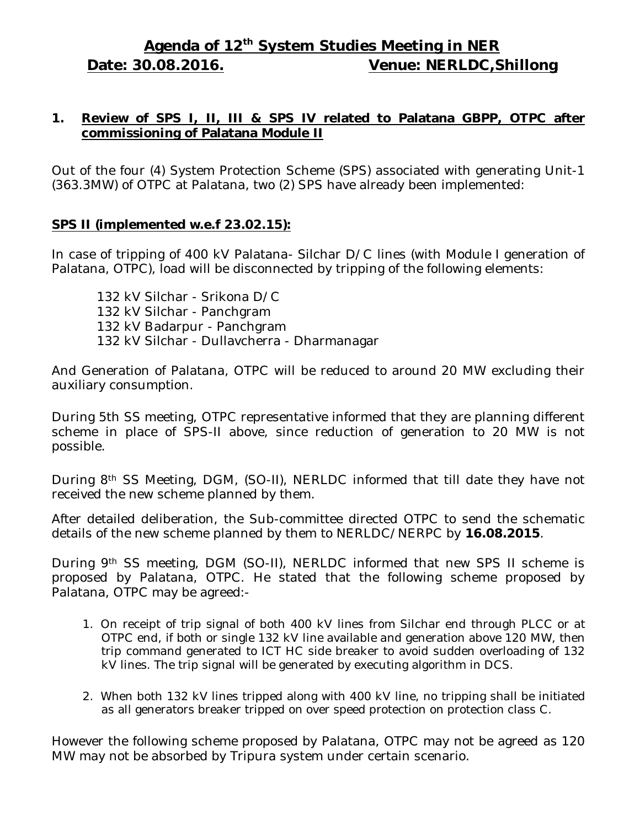# **Agenda of 12 th System Studies Meeting in NER Date: 30.08.2016. Venue: NERLDC,Shillong**

#### **1. Review of SPS I, II, III & SPS IV related to Palatana GBPP, OTPC after commissioning of Palatana Module II**

Out of the four (4) System Protection Scheme (SPS) associated with generating Unit-1 (363.3MW) of OTPC at Palatana, two (2) SPS have already been implemented:

#### **SPS II (implemented w.e.f 23.02.15):**

In case of tripping of 400 kV Palatana- Silchar D/C lines (with Module I generation of Palatana, OTPC), load will be disconnected by tripping of the following elements:

132 kV Silchar - Srikona D/C 132 kV Silchar - Panchgram 132 kV Badarpur - Panchgram 132 kV Silchar - Dullavcherra - Dharmanagar

And Generation of Palatana, OTPC will be reduced to around 20 MW excluding their auxiliary consumption.

During 5th SS meeting, OTPC representative informed that they are planning different scheme in place of SPS-II above, since reduction of generation to 20 MW is not possible.

During 8th SS Meeting, DGM, (SO-II), NERLDC informed that till date they have not received the new scheme planned by them.

After detailed deliberation, the Sub-committee directed OTPC to send the schematic details of the new scheme planned by them to NERLDC/NERPC by **16.08.2015**.

During 9th SS meeting, DGM (SO-II), NERLDC informed that new SPS II scheme is proposed by Palatana, OTPC. He stated that the following scheme proposed by Palatana, OTPC may be agreed:-

- 1. On receipt of trip signal of both 400 kV lines from Silchar end through PLCC or at OTPC end, if both or single 132 kV line available and generation above 120 MW, then trip command generated to ICT HC side breaker to avoid sudden overloading of 132 kV lines. The trip signal will be generated by executing algorithm in DCS.
- 2. When both 132 kV lines tripped along with 400 kV line, no tripping shall be initiated as all generators breaker tripped on over speed protection on protection class C.

However the following scheme proposed by Palatana, OTPC may not be agreed as 120 MW may not be absorbed by Tripura system under certain scenario.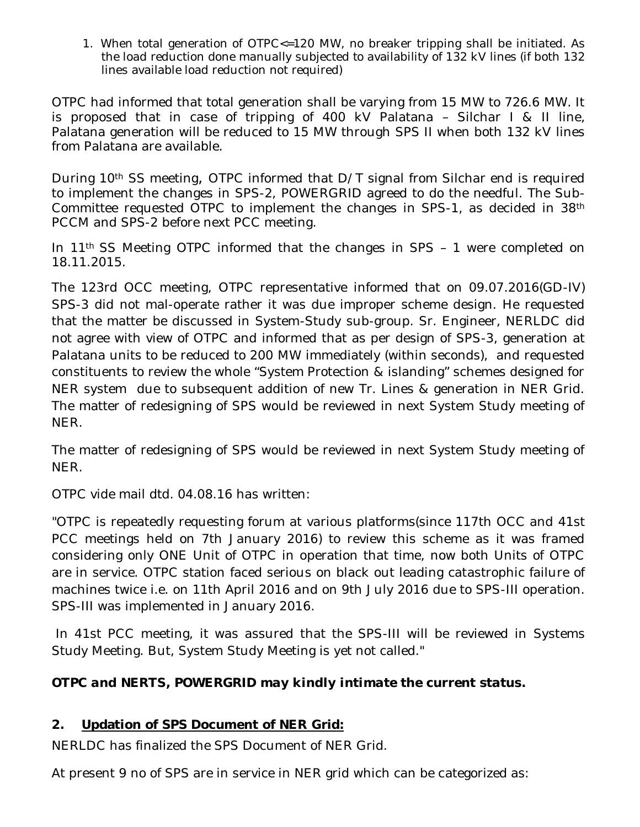1. When total generation of OTPC<=120 MW, no breaker tripping shall be initiated. As the load reduction done manually subjected to availability of 132 kV lines (if both 132 lines available load reduction not required)

OTPC had informed that total generation shall be varying from 15 MW to 726.6 MW. It is proposed that in case of tripping of 400 kV Palatana – Silchar I & II line, Palatana generation will be reduced to 15 MW through SPS II when both 132 kV lines from Palatana are available.

During 10<sup>th</sup> SS meeting, OTPC informed that D/T signal from Silchar end is required to implement the changes in SPS-2, POWERGRID agreed to do the needful. The Sub-Committee requested OTPC to implement the changes in SPS-1, as decided in 38th PCCM and SPS-2 before next PCC meeting.

In 11th SS Meeting OTPC informed that the changes in SPS – 1 were completed on 18.11.2015.

The 123rd OCC meeting, OTPC representative informed that on 09.07.2016(GD-IV) SPS-3 did not mal-operate rather it was due improper scheme design. He requested that the matter be discussed in System-Study sub-group. Sr. Engineer, NERLDC did not agree with view of OTPC and informed that as per design of SPS-3, generation at Palatana units to be reduced to 200 MW immediately (within seconds), and requested constituents to review the whole "System Protection & islanding" schemes designed for NER system due to subsequent addition of new Tr. Lines & generation in NER Grid. The matter of redesigning of SPS would be reviewed in next System Study meeting of NER.

The matter of redesigning of SPS would be reviewed in next System Study meeting of NER.

OTPC vide mail dtd. 04.08.16 has written:

"OTPC is repeatedly requesting forum at various platforms(since 117th OCC and 41st PCC meetings held on 7th January 2016) to review this scheme as it was framed considering only ONE Unit of OTPC in operation that time, now both Units of OTPC are in service. OTPC station faced serious on black out leading catastrophic failure of machines twice i.e. on 11th April 2016 and on 9th July 2016 due to SPS-III operation. SPS-III was implemented in January 2016.

In 41st PCC meeting, it was assured that the SPS-III will be reviewed in Systems Study Meeting. But, System Study Meeting is yet not called."

# *OTPC and NERTS, POWERGRID may kindly intimate the current status.*

# **2. Updation of SPS Document of NER Grid:**

NERLDC has finalized the SPS Document of NER Grid.

At present 9 no of SPS are in service in NER grid which can be categorized as: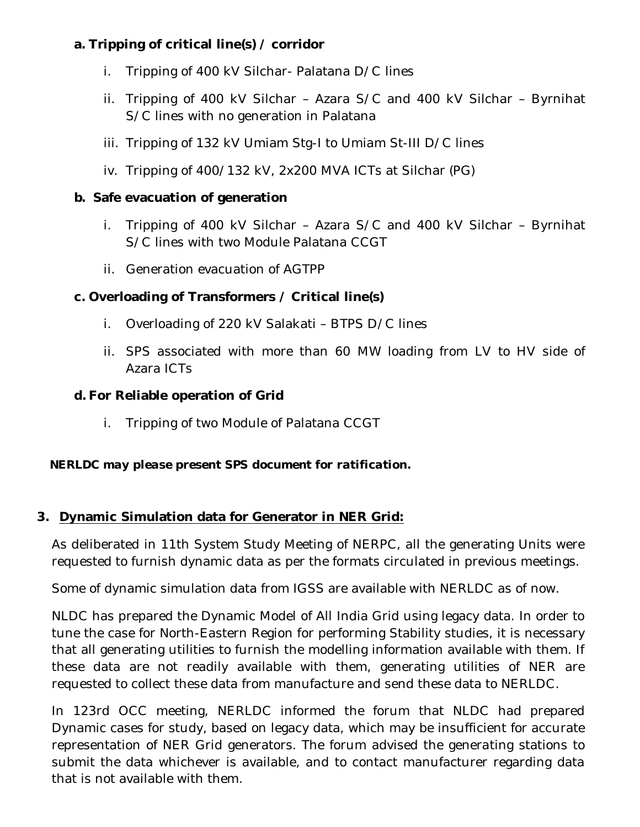# **a. Tripping of critical line(s) / corridor**

- i. Tripping of 400 kV Silchar- Palatana D/C lines
- ii. Tripping of 400 kV Silchar Azara S/C and 400 kV Silchar Byrnihat S/C lines with no generation in Palatana
- iii. Tripping of 132 kV Umiam Stg-I to Umiam St-III D/C lines
- iv. Tripping of 400/132 kV, 2x200 MVA ICTs at Silchar (PG)

# **b. Safe evacuation of generation**

- i. Tripping of 400 kV Silchar Azara S/C and 400 kV Silchar Byrnihat S/C lines with two Module Palatana CCGT
- ii. Generation evacuation of AGTPP

# **c. Overloading of Transformers / Critical line(s)**

- i. Overloading of 220 kV Salakati BTPS D/C lines
- ii. SPS associated with more than 60 MW loading from LV to HV side of Azara ICTs

# **d. For Reliable operation of Grid**

i. Tripping of two Module of Palatana CCGT

# *NERLDC may please present SPS document for ratification.*

# **3. Dynamic Simulation data for Generator in NER Grid:**

As deliberated in 11th System Study Meeting of NERPC, all the generating Units were requested to furnish dynamic data as per the formats circulated in previous meetings.

Some of dynamic simulation data from IGSS are available with NERLDC as of now.

NLDC has prepared the Dynamic Model of All India Grid using legacy data. In order to tune the case for North-Eastern Region for performing Stability studies, it is necessary that all generating utilities to furnish the modelling information available with them. If these data are not readily available with them, generating utilities of NER are requested to collect these data from manufacture and send these data to NERLDC.

In 123rd OCC meeting, NERLDC informed the forum that NLDC had prepared Dynamic cases for study, based on legacy data, which may be insufficient for accurate representation of NER Grid generators. The forum advised the generating stations to submit the data whichever is available, and to contact manufacturer regarding data that is not available with them.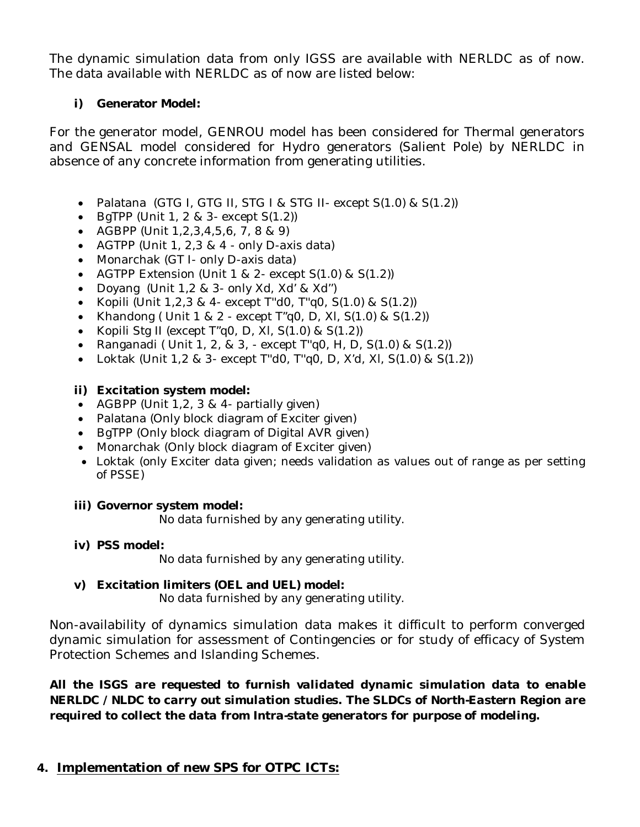The dynamic simulation data from only IGSS are available with NERLDC as of now. The data available with NERLDC as of now are listed below:

#### **i) Generator Model:**

For the generator model, GENROU model has been considered for Thermal generators and GENSAL model considered for Hydro generators (Salient Pole) by NERLDC in absence of any concrete information from generating utilities.

- Palatana (GTG I, GTG II, STG I & STG II- except S(1.0) & S(1.2))
- $\bullet$  BgTPP (Unit 1, 2 & 3- except  $S(1.2)$ )
- AGBPP (Unit  $1, 2, 3, 4, 5, 6, 7, 8, 8, 9$ )
- AGTPP (Unit  $1, 2, 3 \& 4$  only D-axis data)
- Monarchak (GT I- only D-axis data)
- AGTPP Extension (Unit 1 & 2- except S(1.0) & S(1.2))
- Doyang (Unit 1,2 & 3- only Xd, Xd' & Xd'')
- Kopili (Unit  $1,2,3 \& 4$  except T"d0, T"q0, S(1.0) & S(1.2))
- Khandong ( Unit  $1 \& 2$  except T"g0, D, XI, S(1.0) & S(1.2))
- Kopili Stg II (except  $T''$ q0, D, XI, S(1.0) & S(1.2))
- Ranganadi ( Unit 1, 2, & 3, except T"q0, H, D,  $S(1.0)$  &  $S(1.2)$ )
- Loktak (Unit 1,2 & 3- except T"d0, T"q0, D, X'd, XI, S(1.0) & S(1.2))

#### **ii) Excitation system model:**

- AGBPP (Unit  $1,2, 3 \& 4$  partially given)
- Palatana (Only block diagram of Exciter given)
- BgTPP (Only block diagram of Digital AVR given)
- Monarchak (Only block diagram of Exciter given)
- Loktak (only Exciter data given; needs validation as values out of range as per setting of PSSE)

#### **iii) Governor system model:**

No data furnished by any generating utility.

**iv) PSS model:**

No data furnished by any generating utility.

# **v) Excitation limiters (OEL and UEL) model:**

No data furnished by any generating utility.

Non-availability of dynamics simulation data makes it difficult to perform converged dynamic simulation for assessment of Contingencies or for study of efficacy of System Protection Schemes and Islanding Schemes.

*All the ISGS are requested to furnish validated dynamic simulation data to enable NERLDC / NLDC to carry out simulation studies. The SLDCs of North-Eastern Region are required to collect the data from Intra-state generators for purpose of modeling.*

# **4. Implementation of new SPS for OTPC ICTs:**